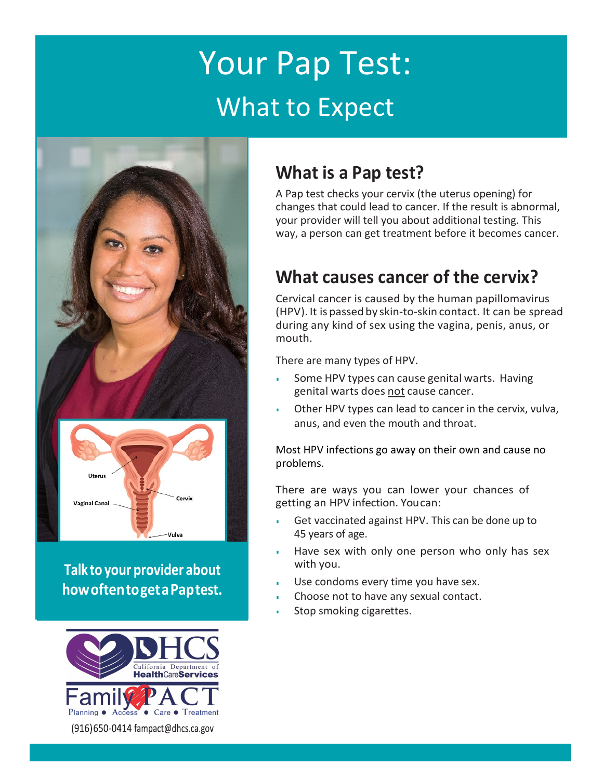# Your Pap Test: What to Expect



**Talk to your provider about howoftentogetaPaptest.**



#### **What is a Pap test?**

A Pap test checks your cervix (the uterus opening) for changes that could lead to cancer. If the result is abnormal, your provider will tell you about additional testing. This way, a person can get treatment before it becomes cancer.

### **What causes cancer of the cervix?**

Cervical cancer is caused by the human papillomavirus (HPV). It is passed by skin-to-skin contact. It can be spread during any kind of sex using the vagina, penis, anus, or mouth.

There are many types of HPV.

- Some HPV types can cause genital warts. Having genital warts does not cause cancer.
- Other HPV types can lead to cancer in the cervix, vulva, anus, and even the mouth and throat.

Most HPV infections go away on their own and cause no problems.

There are ways you can lower your chances of getting an HPV infection. Youcan:

- Get vaccinated against HPV. This can be done up to 45 years of age.
- Have sex with only one person who only has sex with you.
- Use condoms every time you have sex.
- Choose not to have any sexual contact.
- Stop smoking cigarettes.